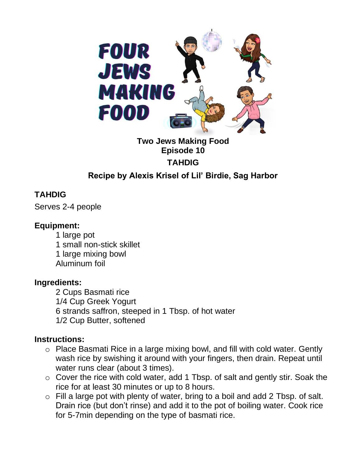

# **Two Jews Making Food Episode 10 TAHDIG**

## **Recipe by Alexis Krisel of Lil' Birdie, Sag Harbor**

## **TAHDIG**

Serves 2-4 people

### **Equipment:**

1 large pot 1 small non-stick skillet 1 large mixing bowl Aluminum foil

### **Ingredients:**

2 Cups Basmati rice 1/4 Cup Greek Yogurt 6 strands saffron, steeped in 1 Tbsp. of hot water 1/2 Cup Butter, softened

### **Instructions:**

- o Place Basmati Rice in a large mixing bowl, and fill with cold water. Gently wash rice by swishing it around with your fingers, then drain. Repeat until water runs clear (about 3 times).
- o Cover the rice with cold water, add 1 Tbsp. of salt and gently stir. Soak the rice for at least 30 minutes or up to 8 hours.
- $\circ$  Fill a large pot with plenty of water, bring to a boil and add 2 Tbsp. of salt. Drain rice (but don't rinse) and add it to the pot of boiling water. Cook rice for 5-7min depending on the type of basmati rice.